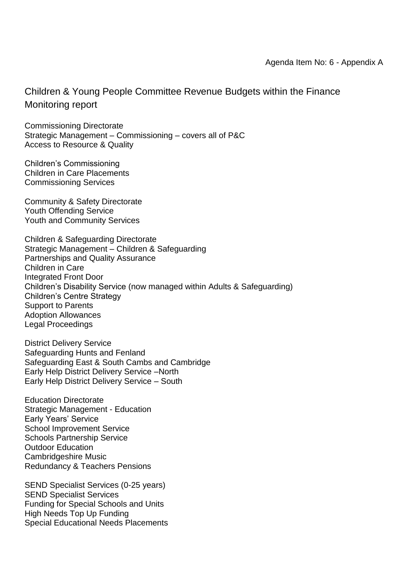Children & Young People Committee Revenue Budgets within the Finance Monitoring report

Commissioning Directorate Strategic Management – Commissioning – covers all of P&C Access to Resource & Quality

Children's Commissioning Children in Care Placements Commissioning Services

Community & Safety Directorate Youth Offending Service Youth and Community Services

Children & Safeguarding Directorate Strategic Management – Children & Safeguarding Partnerships and Quality Assurance Children in Care Integrated Front Door Children's Disability Service (now managed within Adults & Safeguarding) Children's Centre Strategy Support to Parents Adoption Allowances Legal Proceedings

District Delivery Service Safeguarding Hunts and Fenland Safeguarding East & South Cambs and Cambridge Early Help District Delivery Service –North Early Help District Delivery Service – South

Education Directorate Strategic Management - Education Early Years' Service School Improvement Service Schools Partnership Service Outdoor Education Cambridgeshire Music Redundancy & Teachers Pensions

SEND Specialist Services (0-25 years) SEND Specialist Services Funding for Special Schools and Units High Needs Top Up Funding Special Educational Needs Placements